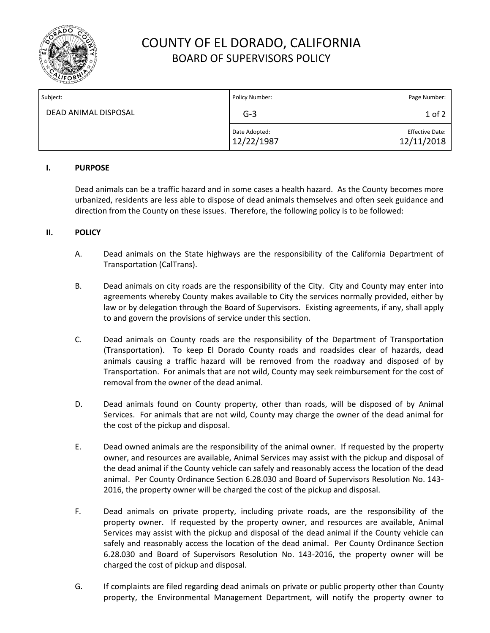

# COUNTY OF EL DORADO, CALIFORNIA BOARD OF SUPERVISORS POLICY

| Subject:             | Policy Number:              | Page Number:                         |
|----------------------|-----------------------------|--------------------------------------|
| DEAD ANIMAL DISPOSAL | $G-3$                       | $1$ of $2$                           |
|                      | Date Adopted:<br>12/22/1987 | <b>Effective Date:</b><br>12/11/2018 |

#### **I. PURPOSE**

Dead animals can be a traffic hazard and in some cases a health hazard. As the County becomes more urbanized, residents are less able to dispose of dead animals themselves and often seek guidance and direction from the County on these issues. Therefore, the following policy is to be followed:

### **II. POLICY**

- A. Dead animals on the State highways are the responsibility of the California Department of Transportation (CalTrans).
- B. Dead animals on city roads are the responsibility of the City. City and County may enter into agreements whereby County makes available to City the services normally provided, either by law or by delegation through the Board of Supervisors. Existing agreements, if any, shall apply to and govern the provisions of service under this section.
- C. Dead animals on County roads are the responsibility of the Department of Transportation (Transportation). To keep El Dorado County roads and roadsides clear of hazards, dead animals causing a traffic hazard will be removed from the roadway and disposed of by Transportation. For animals that are not wild, County may seek reimbursement for the cost of removal from the owner of the dead animal.
- D. Dead animals found on County property, other than roads, will be disposed of by Animal Services. For animals that are not wild, County may charge the owner of the dead animal for the cost of the pickup and disposal.
- E. Dead owned animals are the responsibility of the animal owner. If requested by the property owner, and resources are available, Animal Services may assist with the pickup and disposal of the dead animal if the County vehicle can safely and reasonably access the location of the dead animal. Per County Ordinance Section 6.28.030 and Board of Supervisors Resolution No. 143- 2016, the property owner will be charged the cost of the pickup and disposal.
- F. Dead animals on private property, including private roads, are the responsibility of the property owner. If requested by the property owner, and resources are available, Animal Services may assist with the pickup and disposal of the dead animal if the County vehicle can safely and reasonably access the location of the dead animal. Per County Ordinance Section 6.28.030 and Board of Supervisors Resolution No. 143-2016, the property owner will be charged the cost of pickup and disposal.
- G. If complaints are filed regarding dead animals on private or public property other than County property, the Environmental Management Department, will notify the property owner to